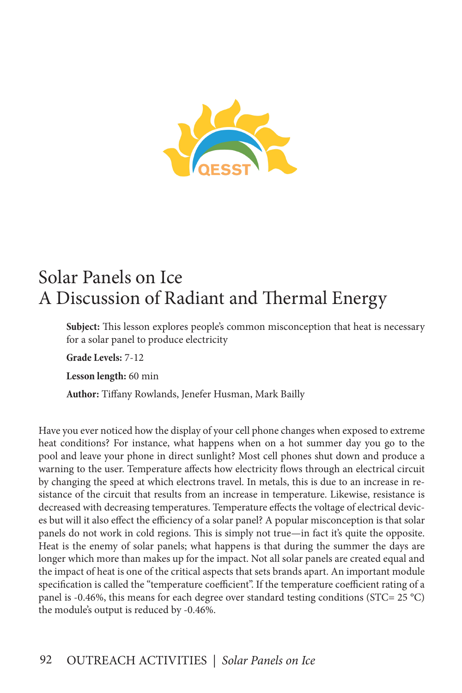

# Solar Panels on Ice A Discussion of Radiant and Thermal Energy

**Subject:** This lesson explores people's common misconception that heat is necessary for a solar panel to produce electricity

**Grade Levels:** 7-12

**Lesson length:** 60 min

**Author:** Tiffany Rowlands, Jenefer Husman, Mark Bailly

Have you ever noticed how the display of your cell phone changes when exposed to extreme heat conditions? For instance, what happens when on a hot summer day you go to the pool and leave your phone in direct sunlight? Most cell phones shut down and produce a warning to the user. Temperature affects how electricity flows through an electrical circuit by changing the speed at which electrons travel. In metals, this is due to an increase in resistance of the circuit that results from an increase in temperature. Likewise, resistance is decreased with decreasing temperatures. Temperature effects the voltage of electrical devices but will it also effect the efficiency of a solar panel? A popular misconception is that solar panels do not work in cold regions. This is simply not true—in fact it's quite the opposite. Heat is the enemy of solar panels; what happens is that during the summer the days are longer which more than makes up for the impact. Not all solar panels are created equal and the impact of heat is one of the critical aspects that sets brands apart. An important module specification is called the "temperature coefficient". If the temperature coefficient rating of a panel is -0.46%, this means for each degree over standard testing conditions (STC= 25 °C) the module's output is reduced by -0.46%.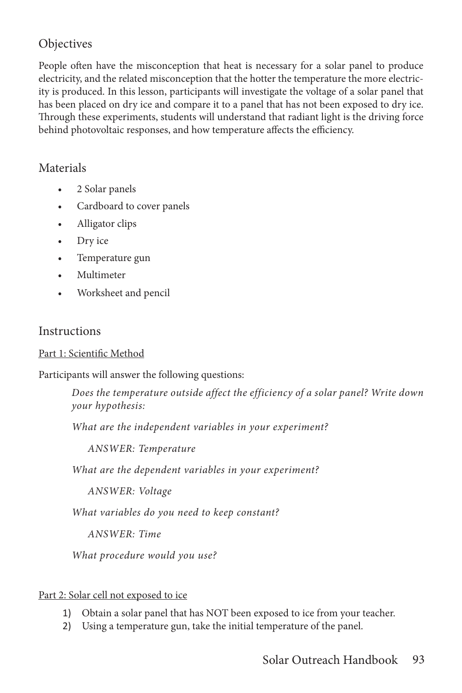# **Objectives**

People often have the misconception that heat is necessary for a solar panel to produce electricity, and the related misconception that the hotter the temperature the more electricity is produced. In this lesson, participants will investigate the voltage of a solar panel that has been placed on dry ice and compare it to a panel that has not been exposed to dry ice. Through these experiments, students will understand that radiant light is the driving force behind photovoltaic responses, and how temperature affects the efficiency.

## Materials

- 2 Solar panels
- Cardboard to cover panels
- Alligator clips
- Dry ice
- Temperature gun
- Multimeter
- Worksheet and pencil

#### **Instructions**

#### Part 1: Scientific Method

Participants will answer the following questions:

*Does the temperature outside affect the efficiency of a solar panel? Write down your hypothesis:*

*What are the independent variables in your experiment?* 

*ANSWER: Temperature*

*What are the dependent variables in your experiment?* 

*ANSWER: Voltage*

*What variables do you need to keep constant?*

*ANSWER: Time*

*What procedure would you use?*

#### Part 2: Solar cell not exposed to ice

- 1) Obtain a solar panel that has NOT been exposed to ice from your teacher.
- 2) Using a temperature gun, take the initial temperature of the panel.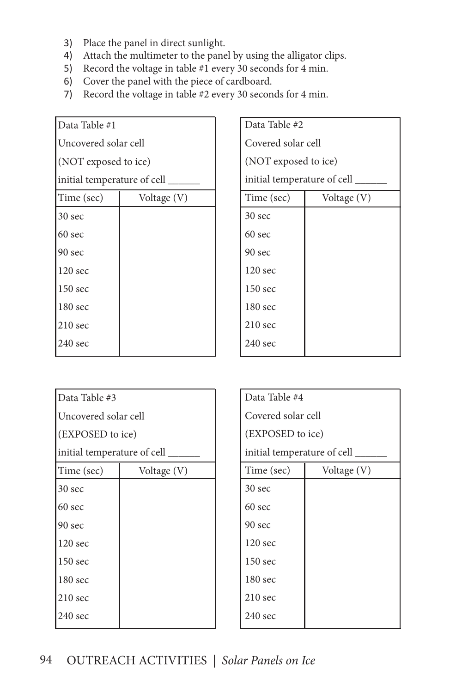- 3) Place the panel in direct sunlight.
- 4) Attach the multimeter to the panel by using the alligator clips.
- 5) Record the voltage in table #1 every 30 seconds for 4 min.
- 6) Cover the panel with the piece of cardboard.
- 7) Record the voltage in table #2 every 30 seconds for 4 min.

| Data Table #1                |             |  |
|------------------------------|-------------|--|
| Uncovered solar cell         |             |  |
| (NOT exposed to ice)         |             |  |
| initial temperature of cell_ |             |  |
| Time (sec)                   | Voltage (V) |  |
| 30 sec                       |             |  |
| 60 sec                       |             |  |
| 90 sec                       |             |  |
| 120 <sub>sec</sub>           |             |  |
| 150 sec                      |             |  |
| 180 sec                      |             |  |
| $210$ sec                    |             |  |
| 240 sec                      |             |  |

| Data Table #2               |             |  |
|-----------------------------|-------------|--|
| Covered solar cell          |             |  |
| (NOT exposed to ice)        |             |  |
| initial temperature of cell |             |  |
| Time (sec)                  | Voltage (V) |  |
| 30 sec                      |             |  |
| 60 sec                      |             |  |
| 90 sec                      |             |  |
| 120 sec                     |             |  |
| 150 sec                     |             |  |
| 180 sec                     |             |  |
| $210$ sec                   |             |  |
| $240 \text{ sec}$           |             |  |

| Data Table #3                |             |  |
|------------------------------|-------------|--|
| Uncovered solar cell         |             |  |
| (EXPOSED to ice)             |             |  |
| initial temperature of cell_ |             |  |
| Time (sec)                   | Voltage (V) |  |
| 30 sec                       |             |  |
| 60 sec                       |             |  |
| 90 sec                       |             |  |
| $120$ sec                    |             |  |
| 150 sec                      |             |  |
| 180 sec                      |             |  |
| $210$ sec                    |             |  |
| $240 \text{ sec}$            |             |  |

| Data Table #4                 |             |  |
|-------------------------------|-------------|--|
| Covered solar cell            |             |  |
| (EXPOSED to ice)              |             |  |
| initial temperature of cell _ |             |  |
| Time (sec)                    | Voltage (V) |  |
| 30 sec                        |             |  |
| $60$ sec                      |             |  |
| 90 <sub>sec</sub>             |             |  |
| 120 <sub>sec</sub>            |             |  |
| 150 sec                       |             |  |
| 180 sec                       |             |  |
| $210$ sec                     |             |  |
| $240 \text{ sec}$             |             |  |